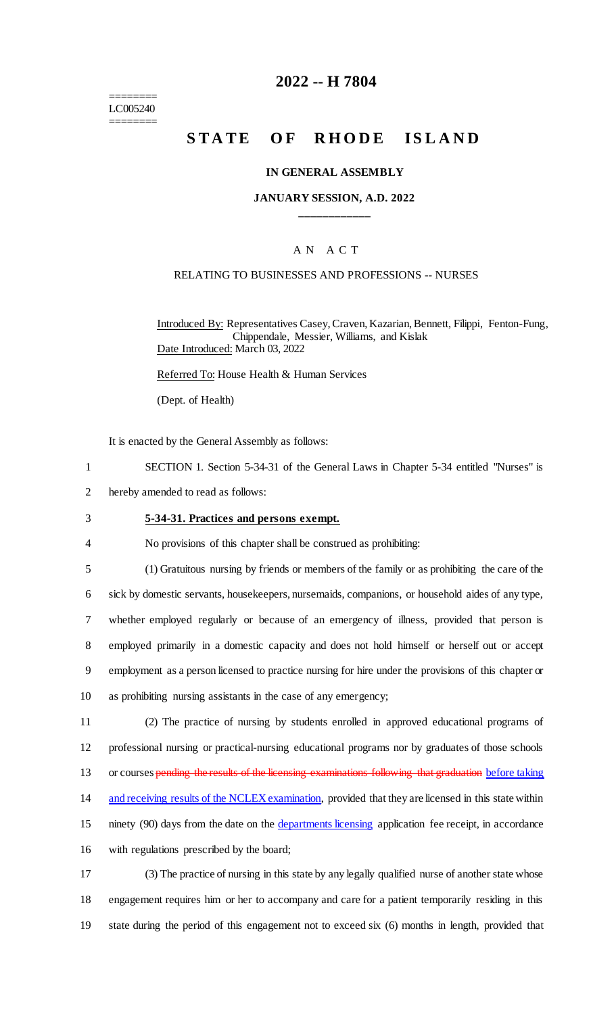======== LC005240 ========

# **2022 -- H 7804**

# **STATE OF RHODE ISLAND**

### **IN GENERAL ASSEMBLY**

## **JANUARY SESSION, A.D. 2022 \_\_\_\_\_\_\_\_\_\_\_\_**

## A N A C T

#### RELATING TO BUSINESSES AND PROFESSIONS -- NURSES

Introduced By: Representatives Casey, Craven, Kazarian, Bennett, Filippi, Fenton-Fung, Chippendale, Messier, Williams, and Kislak Date Introduced: March 03, 2022

Referred To: House Health & Human Services

(Dept. of Health)

It is enacted by the General Assembly as follows:

- 1 SECTION 1. Section 5-34-31 of the General Laws in Chapter 5-34 entitled "Nurses" is
- 2 hereby amended to read as follows:

#### 3 **5-34-31. Practices and persons exempt.**

### 4 No provisions of this chapter shall be construed as prohibiting:

 (1) Gratuitous nursing by friends or members of the family or as prohibiting the care of the sick by domestic servants, housekeepers, nursemaids, companions, or household aides of any type, whether employed regularly or because of an emergency of illness, provided that person is employed primarily in a domestic capacity and does not hold himself or herself out or accept employment as a person licensed to practice nursing for hire under the provisions of this chapter or as prohibiting nursing assistants in the case of any emergency;

11 (2) The practice of nursing by students enrolled in approved educational programs of 12 professional nursing or practical-nursing educational programs nor by graduates of those schools 13 or courses pending the results of the licensing examinations following that graduation before taking 14 and receiving results of the NCLEX examination, provided that they are licensed in this state within 15 ninety (90) days from the date on the departments licensing application fee receipt, in accordance 16 with regulations prescribed by the board;

17 (3) The practice of nursing in this state by any legally qualified nurse of another state whose 18 engagement requires him or her to accompany and care for a patient temporarily residing in this 19 state during the period of this engagement not to exceed six (6) months in length, provided that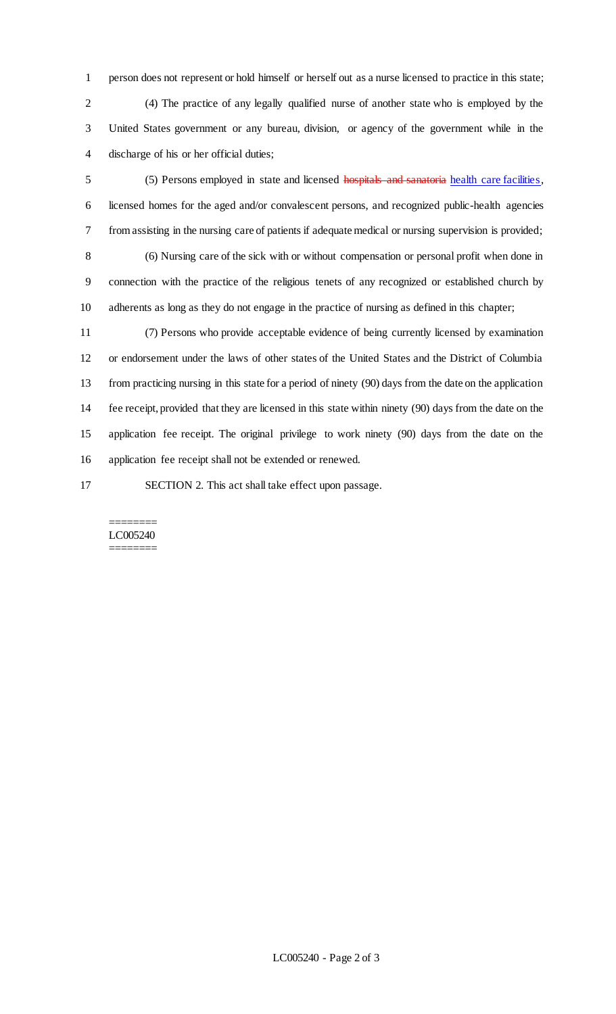person does not represent or hold himself or herself out as a nurse licensed to practice in this state; (4) The practice of any legally qualified nurse of another state who is employed by the United States government or any bureau, division, or agency of the government while in the discharge of his or her official duties;

 (5) Persons employed in state and licensed hospitals and sanatoria health care facilities, licensed homes for the aged and/or convalescent persons, and recognized public-health agencies from assisting in the nursing care of patients if adequate medical or nursing supervision is provided; (6) Nursing care of the sick with or without compensation or personal profit when done in connection with the practice of the religious tenets of any recognized or established church by adherents as long as they do not engage in the practice of nursing as defined in this chapter;

 (7) Persons who provide acceptable evidence of being currently licensed by examination or endorsement under the laws of other states of the United States and the District of Columbia from practicing nursing in this state for a period of ninety (90) days from the date on the application fee receipt, provided that they are licensed in this state within ninety (90) days from the date on the application fee receipt. The original privilege to work ninety (90) days from the date on the application fee receipt shall not be extended or renewed.

SECTION 2. This act shall take effect upon passage.

#### ======== LC005240 ========